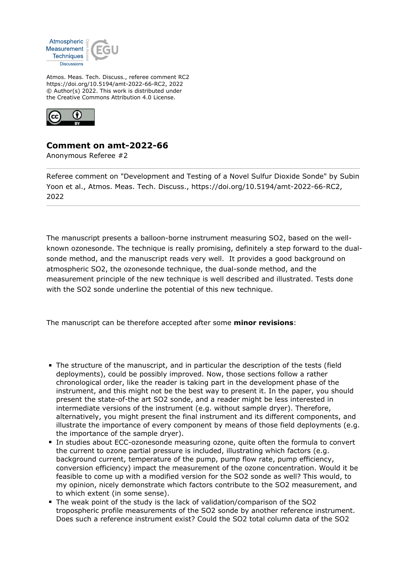

Atmos. Meas. Tech. Discuss., referee comment RC2 https://doi.org/10.5194/amt-2022-66-RC2, 2022 © Author(s) 2022. This work is distributed under the Creative Commons Attribution 4.0 License.



## **Comment on amt-2022-66**

Anonymous Referee #2

Referee comment on "Development and Testing of a Novel Sulfur Dioxide Sonde" by Subin Yoon et al., Atmos. Meas. Tech. Discuss., https://doi.org/10.5194/amt-2022-66-RC2, 2022

The manuscript presents a balloon-borne instrument measuring SO2, based on the wellknown ozonesonde. The technique is really promising, definitely a step forward to the dualsonde method, and the manuscript reads very well. It provides a good background on atmospheric SO2, the ozonesonde technique, the dual-sonde method, and the measurement principle of the new technique is well described and illustrated. Tests done with the SO2 sonde underline the potential of this new technique.

The manuscript can be therefore accepted after some **minor revisions**:

- The structure of the manuscript, and in particular the description of the tests (field deployments), could be possibly improved. Now, those sections follow a rather chronological order, like the reader is taking part in the development phase of the instrument, and this might not be the best way to present it. In the paper, you should present the state-of-the art SO2 sonde, and a reader might be less interested in intermediate versions of the instrument (e.g. without sample dryer). Therefore, alternatively, you might present the final instrument and its different components, and illustrate the importance of every component by means of those field deployments (e.g. the importance of the sample dryer).
- In studies about ECC-ozonesonde measuring ozone, quite often the formula to convert the current to ozone partial pressure is included, illustrating which factors (e.g. background current, temperature of the pump, pump flow rate, pump efficiency, conversion efficiency) impact the measurement of the ozone concentration. Would it be feasible to come up with a modified version for the SO2 sonde as well? This would, to my opinion, nicely demonstrate which factors contribute to the SO2 measurement, and to which extent (in some sense).
- The weak point of the study is the lack of validation/comparison of the SO2 tropospheric profile measurements of the SO2 sonde by another reference instrument. Does such a reference instrument exist? Could the SO2 total column data of the SO2